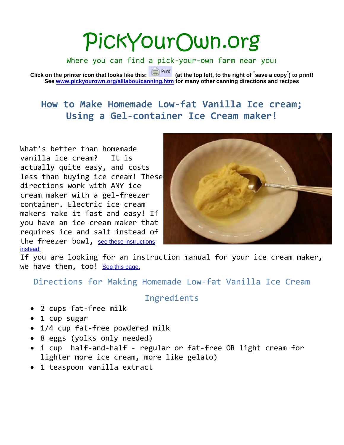# PickYourOwn.org

Where you can find a pick-your-own farm near you!

**Click on the printer icon that looks like this: (at the top left, to the right of " save a copy" ) to print! See [www.pickyourown.org/alllaboutcanning.htm](http://www.pickyourown.org/alllaboutcanning.htm) for many other canning directions and recipes**

## **How to Make Homemade Low-fat Vanilla Ice cream; Using a Gel-container Ice Cream maker!**

What's better than homemade vanilla ice cream? It is actually quite easy, and costs less than buying ice cream! These directions work with ANY ice cream maker with a gel-freezer container. Electric ice cream makers make it fast and easy! If you have an ice cream maker that requires ice and salt instead of the freezer bowl, see these instructions instead!



If you are looking for an instruction manual for your ice cream maker, we have them, too! See this page.

Directions for Making Homemade Low-fat Vanilla Ice Cream

## Ingredients

- 2 cups fat-free milk
- 1 cup sugar
- 1/4 cup fat-free powdered milk
- 8 eggs (yolks only needed)
- 1 cup half-and-half regular or fat-free OR light cream for lighter more ice cream, more like gelato)
- 1 teaspoon vanilla extract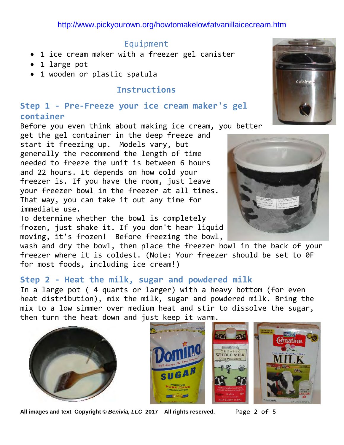### Equipment

- 1 ice cream maker with a freezer gel canister
- 1 large pot
- 1 wooden or plastic spatula

## **Instructions**

## **Step 1 - Pre-Freeze your ice cream maker's gel container**

Before you even think about making ice cream, you better

get the gel container in the deep freeze and start it freezing up. Models vary, but generally the recommend the length of time needed to freeze the unit is between 6 hours and 22 hours. It depends on how cold your freezer is. If you have the room, just leave your freezer bowl in the freezer at all times. That way, you can take it out any time for immediate use.

To determine whether the bowl is completely frozen, just shake it. If you don't hear liquid moving, it's frozen! Before freezing the bowl,

wash and dry the bowl, then place the freezer bowl in the back of your freezer where it is coldest. (Note: Your freezer should be set to 0F for most foods, including ice cream!)

## **Step 2 - Heat the milk, sugar and powdered milk**

In a large pot ( 4 quarts or larger) with a heavy bottom (for even heat distribution), mix the milk, sugar and powdered milk. Bring the mix to a low simmer over medium heat and stir to dissolve the sugar, then turn the heat down and just keep it warm.







**All images and text Copyright ©** *Benivia, LLC* **2017 All rights reserved.** Page 2 of 5



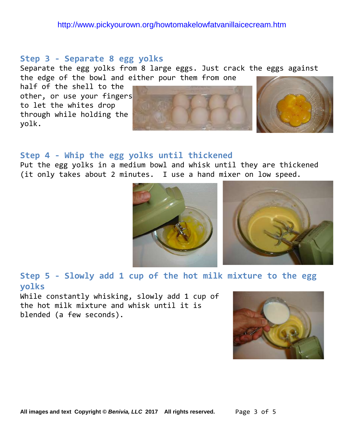#### **Step 3 - Separate 8 egg yolks**

Separate the egg yolks from 8 large eggs. Just crack the eggs against the edge of the bowl and either pour them from one

half of the shell to the other, or use your fingers to let the whites drop through while holding the yolk.





#### **Step 4 - Whip the egg yolks until thickened**

Put the egg yolks in a medium bowl and whisk until they are thickened (it only takes about 2 minutes. I use a hand mixer on low speed.





**Step 5 - Slowly add 1 cup of the hot milk mixture to the egg yolks**

While constantly whisking, slowly add 1 cup of the hot milk mixture and whisk until it is blended (a few seconds).

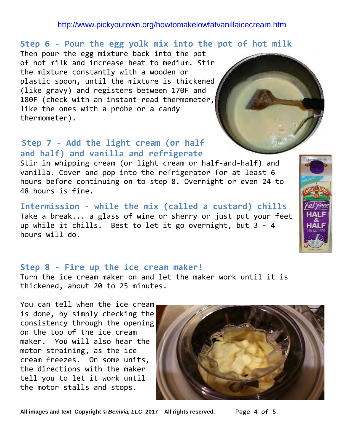## **Step 6 - Pour the egg yolk mix into the pot of hot milk**

Then pour the egg mixture back into the pot of hot milk and increase heat to medium. Stir the mixture constantly with a wooden or plastic spoon, until the mixture is thickened (like gravy) and registers between 170F and 180F (check with an instant-read thermometer, like the ones with a probe or a candy thermometer).

## **Step 7 - Add the light cream (or half and half) and vanilla and refrigerate**

Stir in whipping cream (or light cream or half-and-half) and vanilla. Cover and pop into the refrigerator for at least 6 hours before continuing on to step 8. Overnight or even 24 to 48 hours is fine.

**Intermission - while the mix (called a custard) chills** Take a break... a glass of wine or sherry or just put your feet up while it chills. Best to let it go overnight, but 3 - 4 hours will do.

## **Step 8 - Fire up the ice cream maker!**

Turn the ice cream maker on and let the maker work until it is thickened, about 20 to 25 minutes.

You can tell when the ice cream is done, by simply checking the consistency through the opening on the top of the ice cream maker. You will also hear the motor straining, as the ice cream freezes. On some units, the directions with the maker tell you to let it work until the motor stalls and stops.



**All images and text Copyright ©** *Benivia, LLC* **2017 All rights reserved.** Page 4 of 5